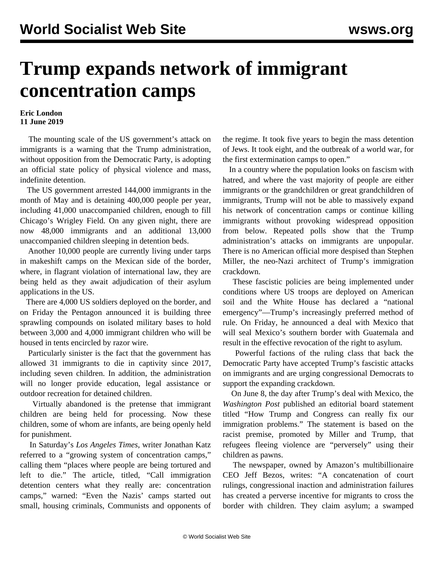## **Trump expands network of immigrant concentration camps**

## **Eric London 11 June 2019**

 The mounting scale of the US government's attack on immigrants is a warning that the Trump administration, without opposition from the Democratic Party, is adopting an official state policy of physical violence and mass, indefinite detention.

 The US government arrested 144,000 immigrants in the month of May and is detaining 400,000 people per year, including 41,000 unaccompanied children, enough to fill Chicago's Wrigley Field. On any given night, there are now 48,000 immigrants and an additional 13,000 unaccompanied children sleeping in detention beds.

 Another 10,000 people are currently living under tarps in makeshift camps on the Mexican side of the border, where, in flagrant violation of international law, they are being held as they await adjudication of their asylum applications in the US.

 There are 4,000 US soldiers deployed on the border, and on Friday the Pentagon announced it is building three sprawling compounds on isolated military bases to hold between 3,000 and 4,000 immigrant children who will be housed in tents encircled by razor wire.

 Particularly sinister is the fact that the government has allowed 31 immigrants to die in captivity since 2017, including seven children. In addition, the administration will no longer provide education, legal assistance or outdoor recreation for detained children.

 Virtually abandoned is the pretense that immigrant children are being held for processing. Now these children, some of whom are infants, are being openly held for punishment.

 In Saturday's *Los Angeles Times*, writer Jonathan Katz referred to a "growing system of concentration camps," calling them "places where people are being tortured and left to die." The article, titled, "Call immigration detention centers what they really are: concentration camps," warned: "Even the Nazis' camps started out small, housing criminals, Communists and opponents of the regime. It took five years to begin the mass detention of Jews. It took eight, and the outbreak of a world war, for the first extermination camps to open."

 In a country where the population looks on fascism with hatred, and where the vast majority of people are either immigrants or the grandchildren or great grandchildren of immigrants, Trump will not be able to massively expand his network of concentration camps or continue killing immigrants without provoking widespread opposition from below. Repeated polls show that the Trump administration's attacks on immigrants are unpopular. There is no American official more despised than Stephen Miller, the neo-Nazi architect of Trump's immigration crackdown.

 These fascistic policies are being implemented under conditions where US troops are deployed on American soil and the White House has declared a "national emergency"—Trump's increasingly preferred method of rule. On Friday, he announced a deal with Mexico that will seal Mexico's southern border with Guatemala and result in the effective revocation of the right to asylum.

 Powerful factions of the ruling class that back the Democratic Party have accepted Trump's fascistic attacks on immigrants and are urging congressional Democrats to support the expanding crackdown.

 On June 8, the day after Trump's deal with Mexico, the *Washington Post* published an editorial board statement titled "How Trump and Congress can really fix our immigration problems." The statement is based on the racist premise, promoted by Miller and Trump, that refugees fleeing violence are "perversely" using their children as pawns.

 The newspaper, owned by Amazon's multibillionaire CEO Jeff Bezos, writes: "A concatenation of court rulings, congressional inaction and administration failures has created a perverse incentive for migrants to cross the border with children. They claim asylum; a swamped